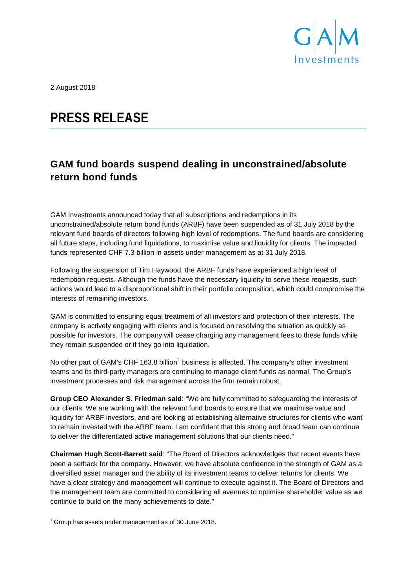

2 August 2018

# **PRESS RELEASE**

## **GAM fund boards suspend dealing in unconstrained/absolute return bond funds**

GAM Investments announced today that all subscriptions and redemptions in its unconstrained/absolute return bond funds (ARBF) have been suspended as of 31 July 2018 by the relevant fund boards of directors following high level of redemptions. The fund boards are considering all future steps, including fund liquidations, to maximise value and liquidity for clients. The impacted funds represented CHF 7.3 billion in assets under management as at 31 July 2018.

Following the suspension of Tim Haywood, the ARBF funds have experienced a high level of redemption requests. Although the funds have the necessary liquidity to serve these requests, such actions would lead to a disproportional shift in their portfolio composition, which could compromise the interests of remaining investors.

GAM is committed to ensuring equal treatment of all investors and protection of their interests. The company is actively engaging with clients and is focused on resolving the situation as quickly as possible for investors. The company will cease charging any management fees to these funds while they remain suspended or if they go into liquidation.

No other part of GAM's CHF [1](#page-0-0)63.8 billion<sup>1</sup> business is affected. The company's other investment teams and its third-party managers are continuing to manage client funds as normal. The Group's investment processes and risk management across the firm remain robust.

**Group CEO Alexander S. Friedman said**: "We are fully committed to safeguarding the interests of our clients. We are working with the relevant fund boards to ensure that we maximise value and liquidity for ARBF investors, and are looking at establishing alternative structures for clients who want to remain invested with the ARBF team. I am confident that this strong and broad team can continue to deliver the differentiated active management solutions that our clients need."

**Chairman Hugh Scott-Barrett said**: "The Board of Directors acknowledges that recent events have been a setback for the company. However, we have absolute confidence in the strength of GAM as a diversified asset manager and the ability of its investment teams to deliver returns for clients. We have a clear strategy and management will continue to execute against it. The Board of Directors and the management team are committed to considering all avenues to optimise shareholder value as we continue to build on the many achievements to date."

<span id="page-0-0"></span><sup>1</sup> Group has assets under management as of 30 June 2018.